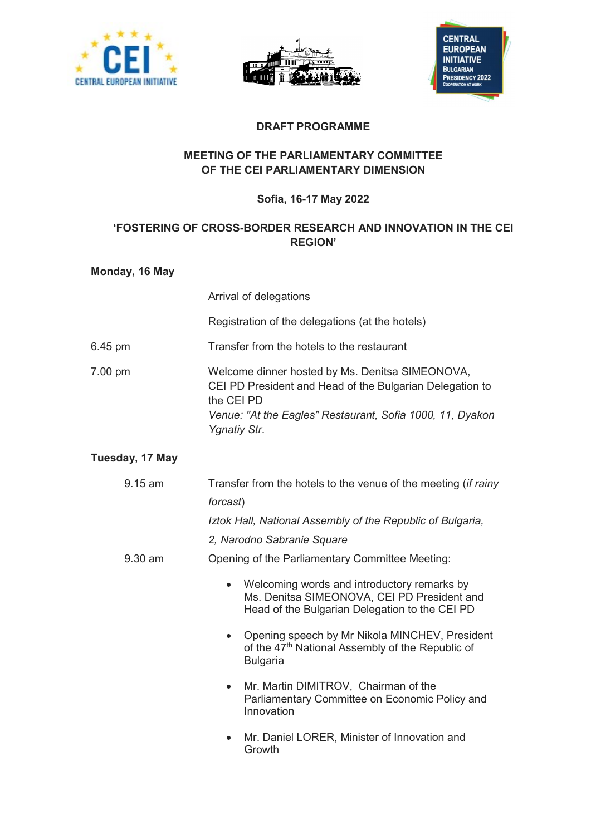





## DRAFT PROGRAMME

## MEETING OF THE PARLIAMENTARY COMMITTEE OF THE CEI PARLIAMENTARY DIMENSION

## Sofia, 16-17 May 2022

# 'FOSTERING OF CROSS-BORDER RESEARCH AND INNOVATION IN THE CEI REGION'

#### Monday, 16 May

 Arrival of delegations Registration of the delegations (at the hotels) 6.45 pm Transfer from the hotels to the restaurant 7.00 pm Welcome dinner hosted by Ms. Denitsa SIMEONOVA, CEI PD President and Head of the Bulgarian Delegation to the CEI PD Venue: "At the Eagles" Restaurant, Sofia 1000, 11, Dyakon Ygnatiy Str.

### Tuesday, 17 May

| $9.15$ am | Transfer from the hotels to the venue of the meeting <i>(if rainy</i>                                                                                     |
|-----------|-----------------------------------------------------------------------------------------------------------------------------------------------------------|
|           | forcast)                                                                                                                                                  |
|           | Iztok Hall, National Assembly of the Republic of Bulgaria,                                                                                                |
|           | 2, Narodno Sabranie Square                                                                                                                                |
| $9.30$ am | Opening of the Parliamentary Committee Meeting:                                                                                                           |
|           | Welcoming words and introductory remarks by<br>$\bullet$<br>Ms. Denitsa SIMEONOVA, CEI PD President and<br>Head of the Bulgarian Delegation to the CEI PD |
|           | Opening speech by Mr Nikola MINCHEV, President<br>$\bullet$<br>of the 47 <sup>th</sup> National Assembly of the Republic of<br><b>Bulgaria</b>            |
|           | Mr. Martin DIMITROV, Chairman of the<br>$\bullet$<br>Parliamentary Committee on Economic Policy and<br>Innovation                                         |
|           | Mr. Daniel LORER, Minister of Innovation and                                                                                                              |

Growth